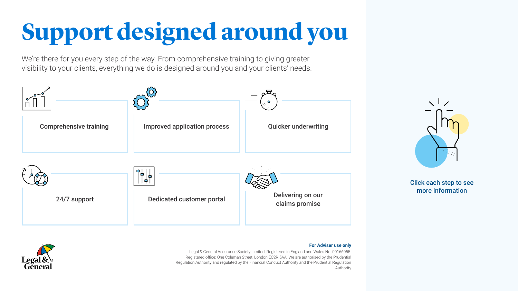We're there for you every step of the way. From comprehensive training to giving greater visibility to your clients, everything we do is designed around you and your clients' needs.

#### **For Adviser use only**



Legal & General Assurance Society Limited. Registered in England and Wales No. 00166055. Registered office: One Coleman Street, London EC2R 5AA. We are authorised by the Prudential Regulation Authority and regulated by the Financial Conduct Authority and the Prudential Regulation Authority







### Click each step to see more information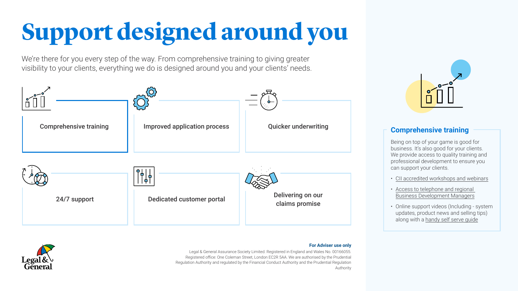<span id="page-1-0"></span>We're there for you every step of the way. From comprehensive training to giving greater visibility to your clients, everything we do is designed around you and your clients' needs.

### **For Adviser use only**



Legal & General Assurance Society Limited. Registered in England and Wales No. 00166055. Registered office: One Coleman Street, London EC2R 5AA. We are authorised by the Prudential Regulation Authority and regulated by the Financial Conduct Authority and the Prudential Regulation Authority







### **Comprehensive training**

Being on top of your game is good for business. It's also good for your clients. We provide access to quality training and professional development to ensure you can support your clients.

- [CII accredited workshops and webinars](https://www.legalandgeneral.com/adviser/protection/learning-development/?cid=Email2171)
- [Access to telephone and regional](https://www.legalandgeneral.com/adviser/files/protection/contact-us/sales-team-regional-map.pdf?cid=Email2172)  [Business Development Managers](https://www.legalandgeneral.com/adviser/files/protection/contact-us/sales-team-regional-map.pdf?cid=Email2172)
- Online support videos (Including system updates, product news and selling tips) along with a [handy self serve guide](https://www.legalandgeneral.com/adviser/files/protection/doing-business-with-us/covid-19/8-ways-were-making-it-easier-to-do-business.pdf%20?cid=Email2173)

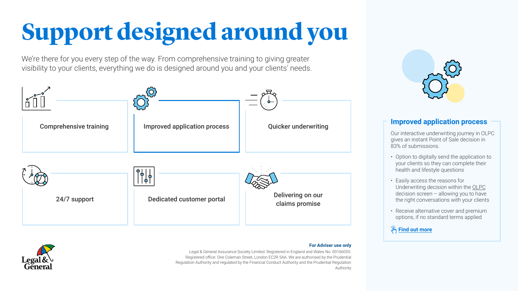<span id="page-2-0"></span>We're there for you every step of the way. From comprehensive training to giving greater visibility to your clients, everything we do is designed around you and your clients' needs.

#### **For Adviser use only**



Our interactive underwriting journey in OLPC gives an instant Point of Sale decision in 83% of submissions.<br>• Option to digitally send the application to

Legal & General Assurance Society Limited. Registered in England and Wales No. 00166055. Registered office: One Coleman Street, London EC2R 5AA. We are authorised by the Prudential Regulation Authority and regulated by the Financial Conduct Authority and the Prudential Regulation Authority







### **Improved application process**

- your clients so they can complete their health and lifestyle questions
- Easily access the reasons for Underwriting decision within the [OLPC](https://www10.landg.com/SAuthGateWeb/login.html?domain=olpc&ut=z&entryPoint=https%3A%2F%2Fwww10.landg.com%2FProtectionPortal%2Fsecure%2FHome?cid=Email2174) decision screen – allowing you to have the right conversations with your clients
- Receive alternative cover and premium options, if no standard terms applied



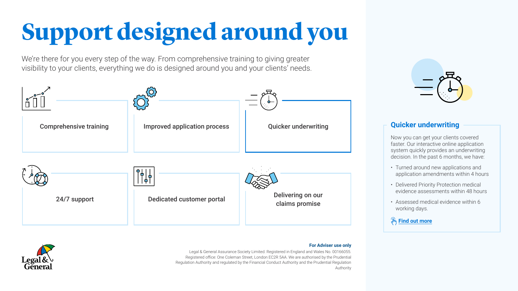<span id="page-3-0"></span>We're there for you every step of the way. From comprehensive training to giving greater visibility to your clients, everything we do is designed around you and your clients' needs.

### **For Adviser use only**



Legal & General Assurance Society Limited. Registered in England and Wales No. 00166055. Registered office: One Coleman Street, London EC2R 5AA. We are authorised by the Prudential Regulation Authority and regulated by the Financial Conduct Authority and the Prudential Regulation Authority







## **Quicker underwriting**

Now you can get your clients covered faster. Our interactive online application system quickly provides an underwriting decision. In the past 6 months, we have:

- Turned around new applications and application amendments within 4 hours
- Delivered Priority Protection medical evidence assessments within 48 hours
- Assessed medical evidence within 6 working days.



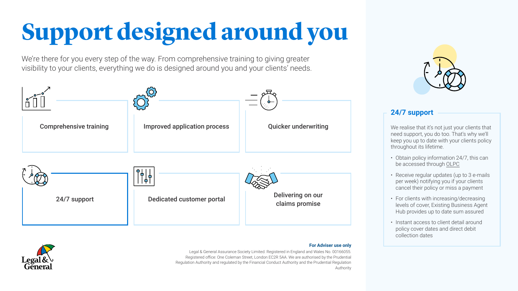<span id="page-4-0"></span>We're there for you every step of the way. From comprehensive training to giving greater visibility to your clients, everything we do is designed around you and your clients' needs.

#### **For Adviser use only**



Legal & General Assurance Society Limited. Registered in England and Wales No. 00166055. Registered office: One Coleman Street, London EC2R 5AA. We are authorised by the Prudential Regulation Authority and regulated by the Financial Conduct Authority and the Prudential Regulation Authority







## **24/7 support**

We realise that it's not just your clients that need support, you do too. That's why we'll keep you up to date with your clients policy throughout its lifetime.<br>• Obtain policy information 24/7, this can

- be accessed through [OLPC](https://www10.landg.com/SAuthGateWeb/login.html?domain=olpc&ut=z&entryPoint=https%3A%2F%2Fwww10.landg.com%2FProtectionPortal%2Fsecure%2FHome?cid=Email2174)
- Receive regular updates (up to 3 e-mails per week) notifying you if your clients cancel their policy or miss a payment
- For clients with increasing/decreasing levels of cover, Existing Business Agent Hub provides up to date sum assured
- Instant access to client detail around policy cover dates and direct debit collection dates

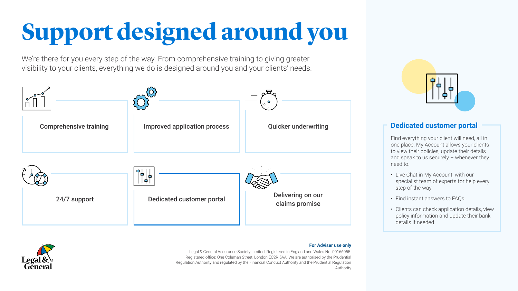<span id="page-5-0"></span>We're there for you every step of the way. From comprehensive training to giving greater visibility to your clients, everything we do is designed around you and your clients' needs.

#### **For Adviser use only**



Find everything your client will need, all in one place. My Account allows your clients to view their policies, update their details and speak to us securely – whenever they need to.<br>• Live Chat in My Account, with our

Legal & General Assurance Society Limited. Registered in England and Wales No. 00166055. Registered office: One Coleman Street, London EC2R 5AA. We are authorised by the Prudential Regulation Authority and regulated by the Financial Conduct Authority and the Prudential Regulation Authority







### **Dedicated customer portal**

- specialist team of experts for help every step of the way
- Find instant answers to FAQs
- Clients can check application details, view policy information and update their bank details if needed